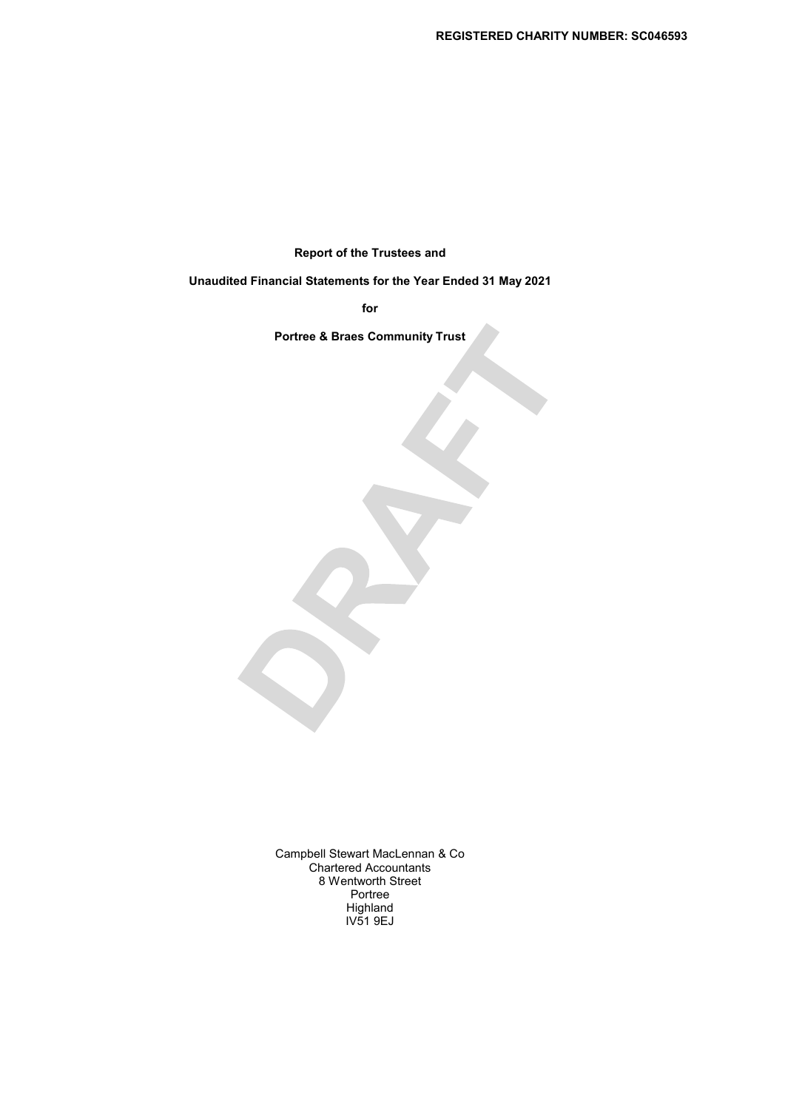Report of the Trustees and

Unaudited Financial Statements for the Year Ended 31 May 2021

for

Portree & Braes Community Trust

Campbell Stewart MacLennan & Co Chartered Accountants 8 Wentworth Street Portree Highland IV51 9EJ

 $\mathcal{S}$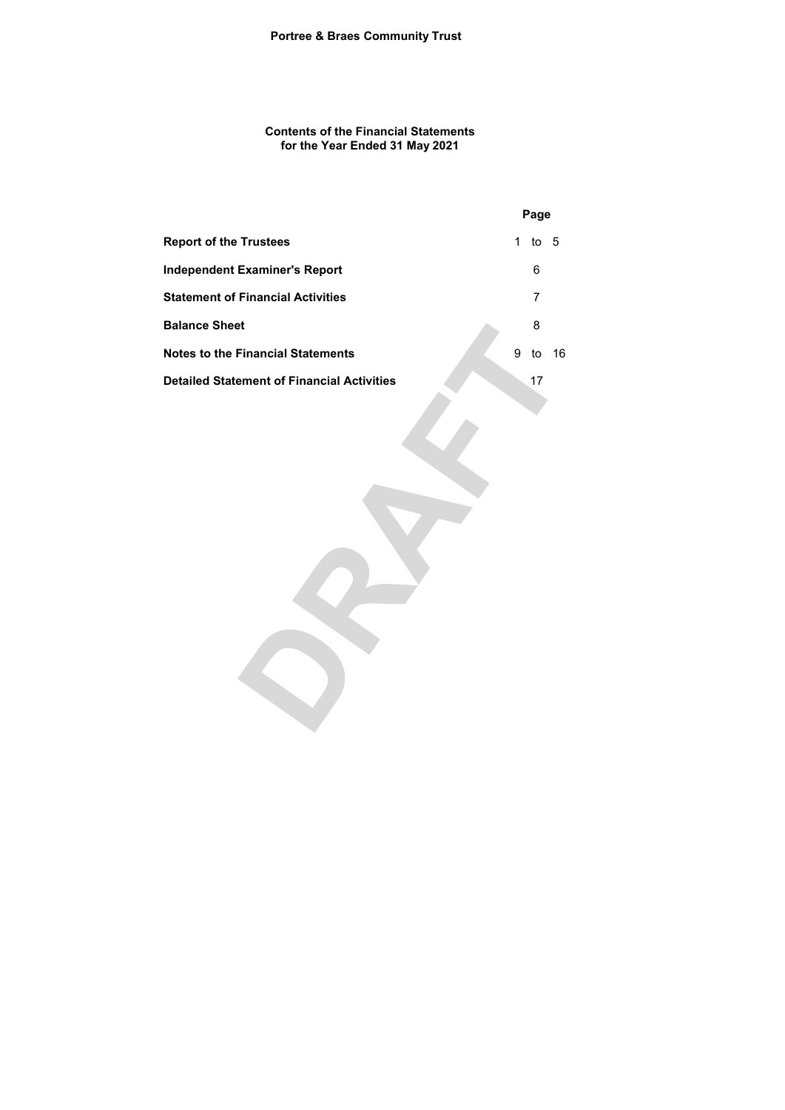Contents of the Financial Statements for the Year Ended 31 May 2021

|                                                   |   | Page |    |
|---------------------------------------------------|---|------|----|
| <b>Report of the Trustees</b>                     | 1 | to 5 |    |
| Independent Examiner's Report                     |   | 6    |    |
| <b>Statement of Financial Activities</b>          |   |      |    |
| <b>Balance Sheet</b>                              |   | 8    |    |
| <b>Notes to the Financial Statements</b>          | 9 | to   | 16 |
| <b>Detailed Statement of Financial Activities</b> |   | 17   |    |
|                                                   |   |      |    |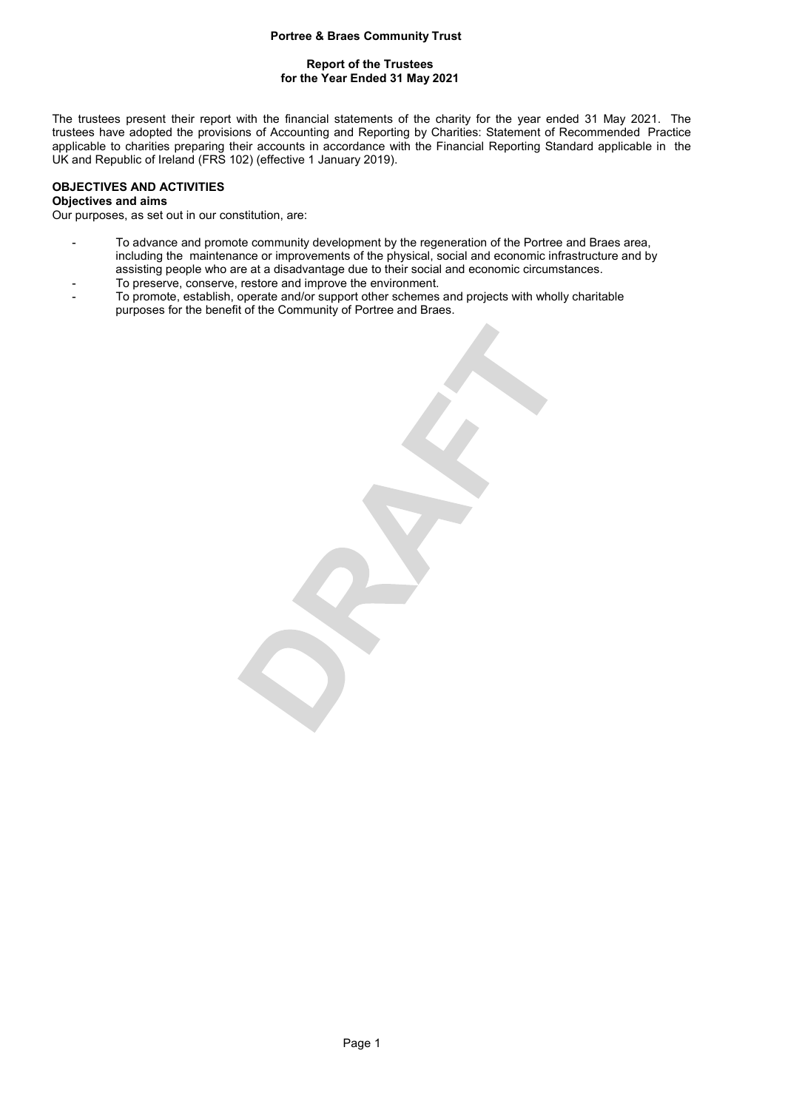# Report of the Trustees for the Year Ended 31 May 2021

The trustees present their report with the financial statements of the charity for the year ended 31 May 2021. The trustees have adopted the provisions of Accounting and Reporting by Charities: Statement of Recommended Practice applicable to charities preparing their accounts in accordance with the Financial Reporting Standard applicable in the UK and Republic of Ireland (FRS 102) (effective 1 January 2019).

# OBJECTIVES AND ACTIVITIES

# Objectives and aims

Our purposes, as set out in our constitution, are:

- To advance and promote community development by the regeneration of the Portree and Braes area, including the maintenance or improvements of the physical, social and economic infrastructure and by assisting people who are at a disadvantage due to their social and economic circumstances.
- To preserve, conserve, restore and improve the environment.
- To promote, establish, operate and/or support other schemes and projects with wholly charitable purposes for the benefit of the Community of Portree and Braes.

 $\bullet$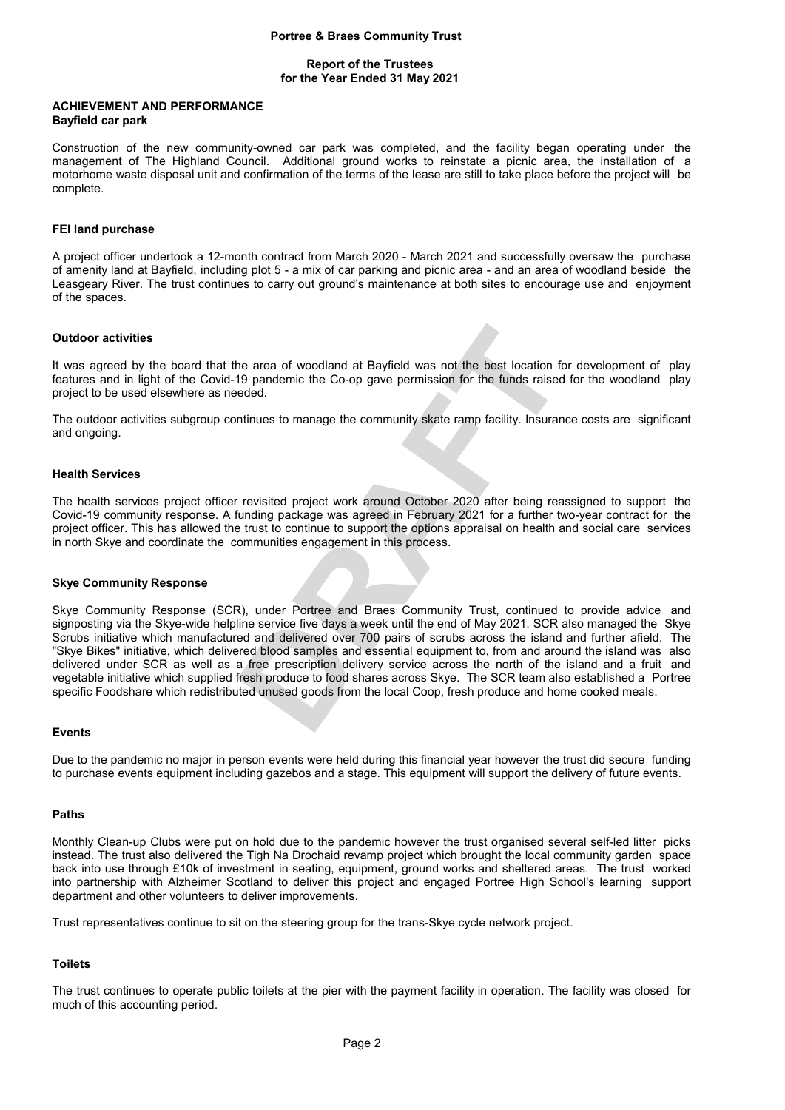#### Report of the Trustees for the Year Ended 31 May 2021

#### ACHIEVEMENT AND PERFORMANCE Bayfield car park

Construction of the new community-owned car park was completed, and the facility began operating under the management of The Highland Council. Additional ground works to reinstate a picnic area, the installation of a motorhome waste disposal unit and confirmation of the terms of the lease are still to take place before the project will be complete.

## FEI land purchase

A project officer undertook a 12-month contract from March 2020 - March 2021 and successfully oversaw the purchase of amenity land at Bayfield, including plot 5 - a mix of car parking and picnic area - and an area of woodland beside the Leasgeary River. The trust continues to carry out ground's maintenance at both sites to encourage use and enjoyment of the spaces.

## Outdoor activities

It was agreed by the board that the area of woodland at Bayfield was not the best location for development of play features and in light of the Covid-19 pandemic the Co-op gave permission for the funds raised for the woodland play project to be used elsewhere as needed.

The outdoor activities subgroup continues to manage the community skate ramp facility. Insurance costs are significant and ongoing.

### Health Services

The health services project officer revisited project work around October 2020 after being reassigned to support the Covid-19 community response. A funding package was agreed in February 2021 for a further two-year contract for the project officer. This has allowed the trust to continue to support the options appraisal on health and social care services in north Skye and coordinate the communities engagement in this process.

### Skye Community Response

Skye Community Response (SCR), under Portree and Braes Community Trust, continued to provide advice and signposting via the Skye-wide helpline service five days a week until the end of May 2021. SCR also managed the Skye Scrubs initiative which manufactured and delivered over 700 pairs of scrubs across the island and further afield. The "Skye Bikes" initiative, which delivered blood samples and essential equipment to, from and around the island was also delivered under SCR as well as a free prescription delivery service across the north of the island and a fruit and vegetable initiative which supplied fresh produce to food shares across Skye. The SCR team also established a Portree specific Foodshare which redistributed unused goods from the local Coop, fresh produce and home cooked meals.

#### Events

Due to the pandemic no major in person events were held during this financial year however the trust did secure funding to purchase events equipment including gazebos and a stage. This equipment will support the delivery of future events.

## Paths

Monthly Clean-up Clubs were put on hold due to the pandemic however the trust organised several self-led litter picks instead. The trust also delivered the Tigh Na Drochaid revamp project which brought the local community garden space back into use through £10k of investment in seating, equipment, ground works and sheltered areas. The trust worked into partnership with Alzheimer Scotland to deliver this project and engaged Portree High School's learning support department and other volunteers to deliver improvements.

Trust representatives continue to sit on the steering group for the trans-Skye cycle network project.

# **Toilets**

The trust continues to operate public toilets at the pier with the payment facility in operation. The facility was closed for much of this accounting period.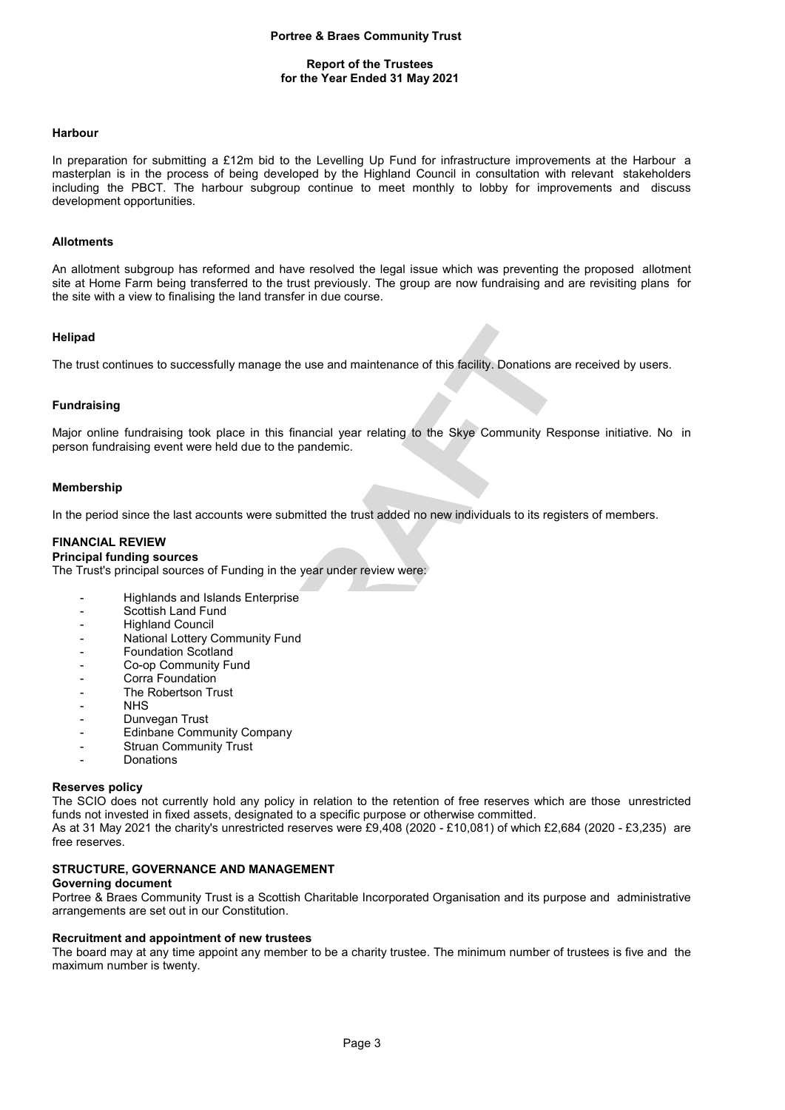## Report of the Trustees for the Year Ended 31 May 2021

#### Harbour

In preparation for submitting a £12m bid to the Levelling Up Fund for infrastructure improvements at the Harbour a masterplan is in the process of being developed by the Highland Council in consultation with relevant stakeholders including the PBCT. The harbour subgroup continue to meet monthly to lobby for improvements and discuss development opportunities.

#### **Allotments**

An allotment subgroup has reformed and have resolved the legal issue which was preventing the proposed allotment site at Home Farm being transferred to the trust previously. The group are now fundraising and are revisiting plans for the site with a view to finalising the land transfer in due course.

# Helipad

The trust continues to successfully manage the use and maintenance of this facility. Donations are received by users.

## Fundraising

Major online fundraising took place in this financial year relating to the Skye Community Response initiative. No in person fundraising event were held due to the pandemic.

#### Membership

In the period since the last accounts were submitted the trust added no new individuals to its registers of members.

## FINANCIAL REVIEW

### Principal funding sources

The Trust's principal sources of Funding in the year under review were:

- Highlands and Islands Enterprise
- Scottish Land Fund
- Highland Council
- National Lottery Community Fund
- Foundation Scotland
- Co-op Community Fund
- Corra Foundation
- The Robertson Trust
- NHS
- Dunvegan Trust
- Edinbane Community Company
- Struan Community Trust
- **Donations**

#### Reserves policy

The SCIO does not currently hold any policy in relation to the retention of free reserves which are those unrestricted funds not invested in fixed assets, designated to a specific purpose or otherwise committed. As at 31 May 2021 the charity's unrestricted reserves were £9,408 (2020 - £10,081) of which £2,684 (2020 - £3,235) are free reserves.

## STRUCTURE, GOVERNANCE AND MANAGEMENT

## Governing document

Portree & Braes Community Trust is a Scottish Charitable Incorporated Organisation and its purpose and administrative arrangements are set out in our Constitution.

#### Recruitment and appointment of new trustees

The board may at any time appoint any member to be a charity trustee. The minimum number of trustees is five and the maximum number is twenty.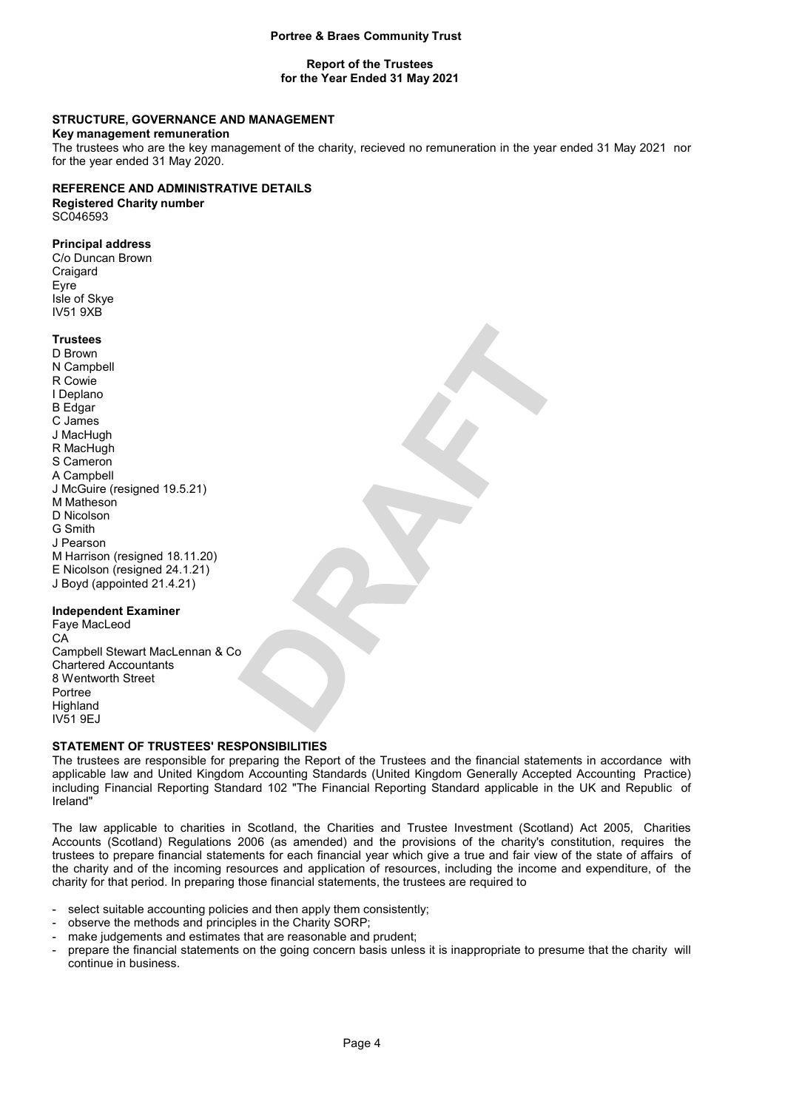## Report of the Trustees for the Year Ended 31 May 2021

# STRUCTURE, GOVERNANCE AND MANAGEMENT

#### Key management remuneration

The trustees who are the key management of the charity, recieved no remuneration in the year ended 31 May 2021 nor for the year ended 31 May 2020.

# REFERENCE AND ADMINISTRATIVE DETAILS

Registered Charity number SC046593

# Principal address

C/o Duncan Brown **Craigard** Eyre Isle of Skye IV51 9XB

#### **Trustees**

D Brown N Campbell R Cowie I Deplano B Edgar C James J MacHugh R MacHugh S Cameron A Campbell J McGuire (resigned 19.5.21) M Matheson D Nicolson G Smith J Pearson M Harrison (resigned 18.11.20) E Nicolson (resigned 24.1.21) J Boyd (appointed 21.4.21)

## Independent Examiner

Faye MacLeod CA Campbell Stewart MacLennan & Co Chartered Accountants 8 Wentworth Street Portree **Highland** IV51 9EJ

# STATEMENT OF TRUSTEES' RESPONSIBILITIES

The trustees are responsible for preparing the Report of the Trustees and the financial statements in accordance with applicable law and United Kingdom Accounting Standards (United Kingdom Generally Accepted Accounting Practice) including Financial Reporting Standard 102 "The Financial Reporting Standard applicable in the UK and Republic of Ireland"

The law applicable to charities in Scotland, the Charities and Trustee Investment (Scotland) Act 2005, Charities Accounts (Scotland) Regulations 2006 (as amended) and the provisions of the charity's constitution, requires the trustees to prepare financial statements for each financial year which give a true and fair view of the state of affairs of the charity and of the incoming resources and application of resources, including the income and expenditure, of the charity for that period. In preparing those financial statements, the trustees are required to

- select suitable accounting policies and then apply them consistently;
- observe the methods and principles in the Charity SORP;
- make judgements and estimates that are reasonable and prudent;
- prepare the financial statements on the going concern basis unless it is inappropriate to presume that the charity will continue in business.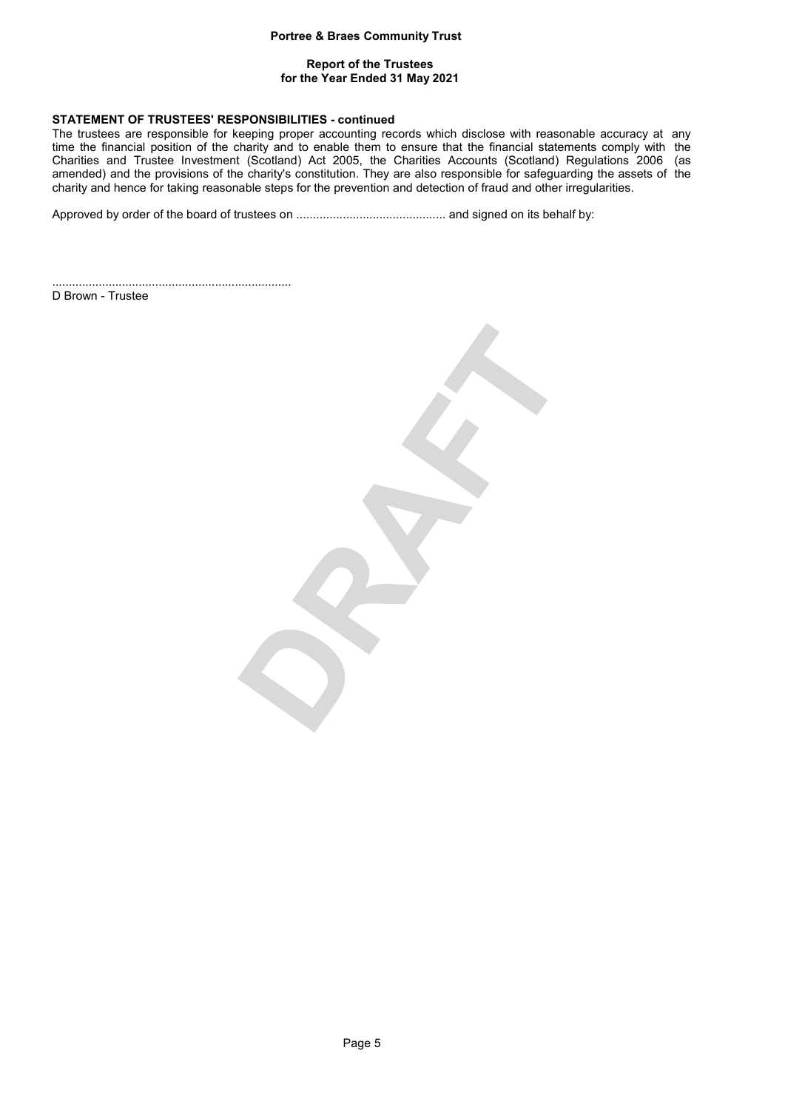## Report of the Trustees for the Year Ended 31 May 2021

# STATEMENT OF TRUSTEES' RESPONSIBILITIES - continued

The trustees are responsible for keeping proper accounting records which disclose with reasonable accuracy at any time the financial position of the charity and to enable them to ensure that the financial statements comply with the Charities and Trustee Investment (Scotland) Act 2005, the Charities Accounts (Scotland) Regulations 2006 (as amended) and the provisions of the charity's constitution. They are also responsible for safeguarding the assets of the charity and hence for taking reasonable steps for the prevention and detection of fraud and other irregularities.

Approved by order of the board of trustees on ............................................. and signed on its behalf by:

........................................................................ D Brown - Trustee

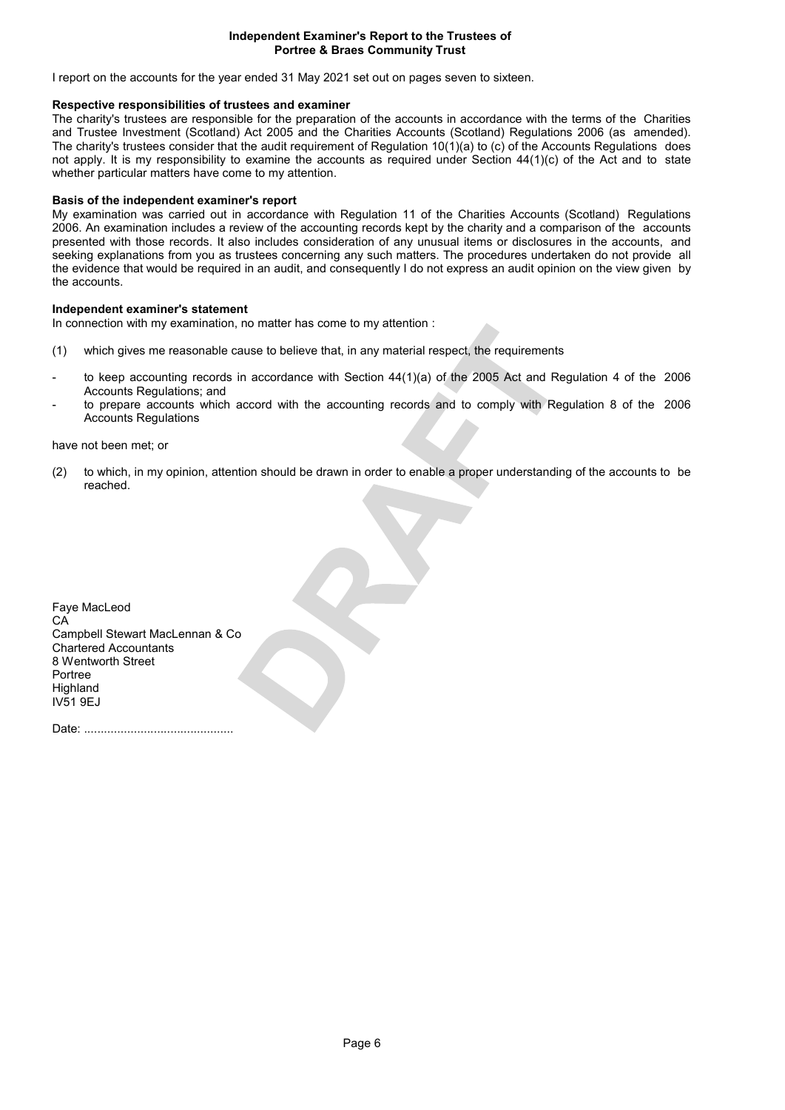## Independent Examiner's Report to the Trustees of Portree & Braes Community Trust

I report on the accounts for the year ended 31 May 2021 set out on pages seven to sixteen.

# Respective responsibilities of trustees and examiner

The charity's trustees are responsible for the preparation of the accounts in accordance with the terms of the Charities and Trustee Investment (Scotland) Act 2005 and the Charities Accounts (Scotland) Regulations 2006 (as amended). The charity's trustees consider that the audit requirement of Regulation  $10(1)(a)$  to (c) of the Accounts Regulations does not apply. It is my responsibility to examine the accounts as required under Section 44(1)(c) of the Act and to state whether particular matters have come to my attention.

# Basis of the independent examiner's report

My examination was carried out in accordance with Regulation 11 of the Charities Accounts (Scotland) Regulations 2006. An examination includes a review of the accounting records kept by the charity and a comparison of the accounts presented with those records. It also includes consideration of any unusual items or disclosures in the accounts, and seeking explanations from you as trustees concerning any such matters. The procedures undertaken do not provide all the evidence that would be required in an audit, and consequently I do not express an audit opinion on the view given by the accounts.

# Independent examiner's statement

In connection with my examination, no matter has come to my attention :

- (1) which gives me reasonable cause to believe that, in any material respect, the requirements
- to keep accounting records in accordance with Section 44(1)(a) of the 2005 Act and Regulation 4 of the 2006 Accounts Regulations; and
- to prepare accounts which accord with the accounting records and to comply with Regulation 8 of the 2006 Accounts Regulations

have not been met; or

(2) to which, in my opinion, attention should be drawn in order to enable a proper understanding of the accounts to be reached.

Faye MacLeod CA Campbell Stewart MacLennan & Co Chartered Accountants 8 Wentworth Street Portree Highland IV51 9EJ

Date: .............................................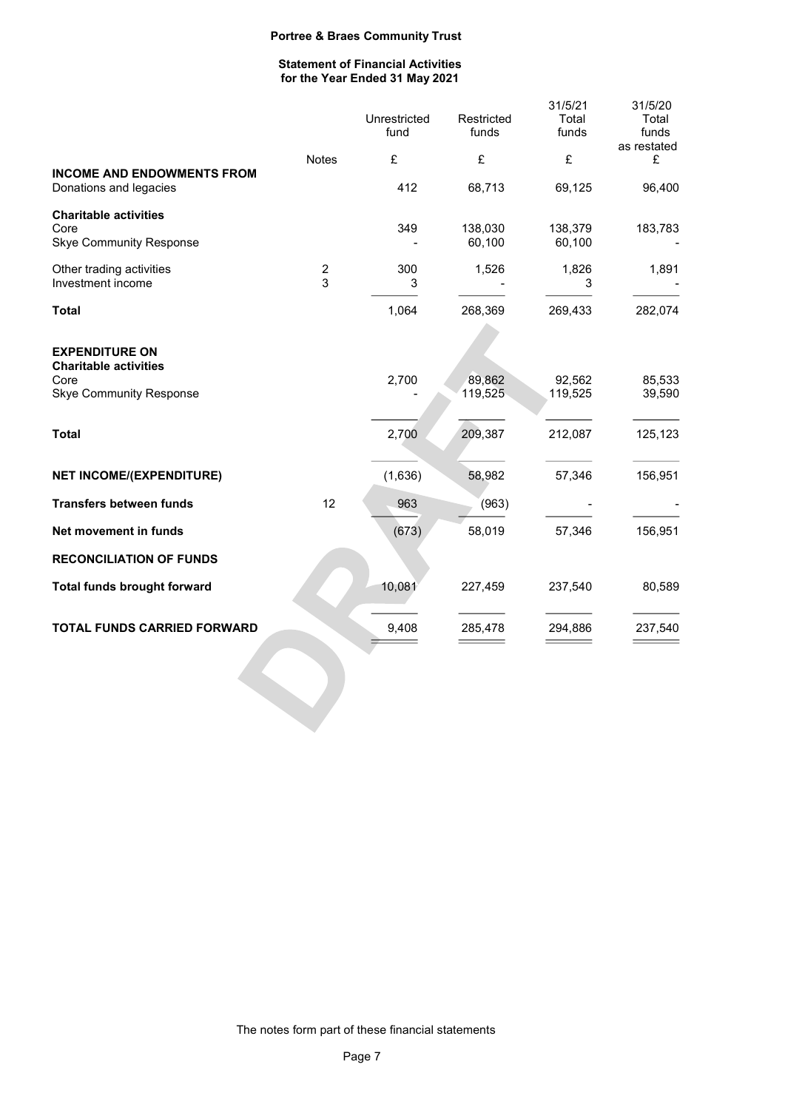# Statement of Financial Activities for the Year Ended 31 May 2021

|                                                                                                 |                     | Unrestricted<br>fund | Restricted<br>funds | 31/5/21<br>Total<br>funds | 31/5/20<br>Total<br>funds |
|-------------------------------------------------------------------------------------------------|---------------------|----------------------|---------------------|---------------------------|---------------------------|
|                                                                                                 |                     |                      |                     |                           | as restated               |
| <b>INCOME AND ENDOWMENTS FROM</b><br>Donations and legacies                                     | <b>Notes</b>        | £<br>412             | £<br>68,713         | £<br>69,125               | £<br>96,400               |
| <b>Charitable activities</b><br>Core<br><b>Skye Community Response</b>                          |                     | 349                  | 138,030<br>60,100   | 138,379<br>60,100         | 183,783                   |
| Other trading activities<br>Investment income                                                   | $\overline{c}$<br>3 | 300<br>3             | 1,526               | 1,826<br>3                | 1,891                     |
| <b>Total</b>                                                                                    |                     | 1,064                | 268,369             | 269,433                   | 282,074                   |
| <b>EXPENDITURE ON</b><br><b>Charitable activities</b><br>Core<br><b>Skye Community Response</b> |                     | 2,700                | 89,862<br>119,525   | 92,562<br>119,525         | 85,533<br>39,590          |
| <b>Total</b>                                                                                    |                     | 2,700                | 209,387             | 212,087                   | 125,123                   |
| <b>NET INCOME/(EXPENDITURE)</b>                                                                 |                     | (1,636)              | 58,982              | 57,346                    | 156,951                   |
| <b>Transfers between funds</b>                                                                  | 12                  | 963                  | (963)               |                           |                           |
| Net movement in funds                                                                           |                     | (673)                | 58,019              | 57,346                    | 156,951                   |
| <b>RECONCILIATION OF FUNDS</b>                                                                  |                     |                      |                     |                           |                           |
| <b>Total funds brought forward</b>                                                              |                     | 10,081               | 227,459             | 237,540                   | 80,589                    |
| <b>TOTAL FUNDS CARRIED FORWARD</b>                                                              |                     | 9,408                | 285,478             | 294,886                   | 237,540                   |
|                                                                                                 |                     |                      |                     |                           |                           |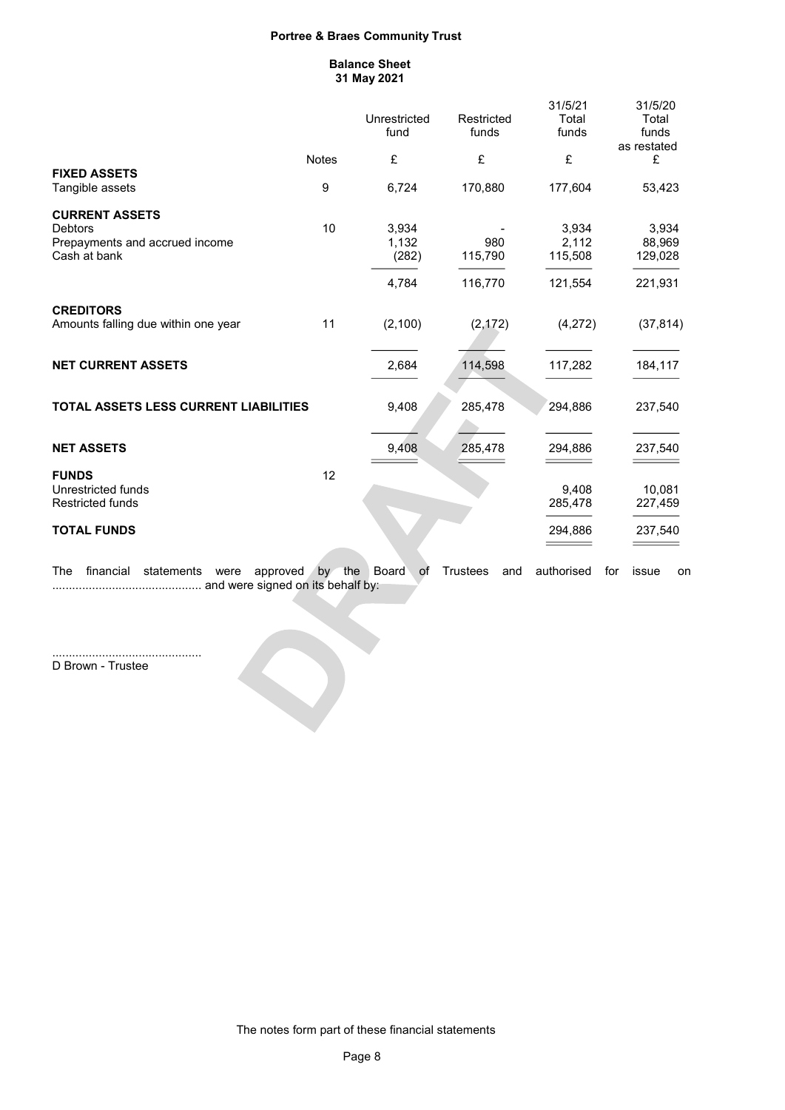### Balance Sheet 31 May 2021

|                                                                                           |              | Unrestricted<br>fund             | Restricted<br>funds       | 31/5/21<br>Total<br>funds            | 31/5/20<br>Total<br>funds<br>as restated |
|-------------------------------------------------------------------------------------------|--------------|----------------------------------|---------------------------|--------------------------------------|------------------------------------------|
|                                                                                           | <b>Notes</b> | £                                | £                         | £                                    | £                                        |
| <b>FIXED ASSETS</b><br>Tangible assets                                                    | 9            | 6,724                            | 170,880                   | 177,604                              | 53,423                                   |
| <b>CURRENT ASSETS</b><br><b>Debtors</b><br>Prepayments and accrued income<br>Cash at bank | 10           | 3,934<br>1,132<br>(282)<br>4,784 | 980<br>115,790<br>116,770 | 3,934<br>2,112<br>115,508<br>121,554 | 3,934<br>88,969<br>129,028<br>221,931    |
| <b>CREDITORS</b><br>Amounts falling due within one year                                   | 11           | (2, 100)                         | (2, 172)                  | (4,272)                              | (37, 814)                                |
| <b>NET CURRENT ASSETS</b>                                                                 |              | 2,684                            | 114,598                   | 117,282                              | 184,117                                  |
| <b>TOTAL ASSETS LESS CURRENT LIABILITIES</b>                                              |              | 9,408                            | 285,478                   | 294,886                              | 237,540                                  |
| <b>NET ASSETS</b>                                                                         |              | 9,408                            | 285,478                   | 294.886                              | 237,540                                  |
| <b>FUNDS</b><br>Unrestricted funds<br><b>Restricted funds</b>                             | 12           |                                  |                           | 9,408<br>285,478                     | 10,081<br>227,459                        |
| <b>TOTAL FUNDS</b>                                                                        |              |                                  |                           | 294,886                              | 237,540                                  |
| The<br>financial<br>statements<br>approved<br>were                                        | by the       | <b>Board</b><br>оf               | <b>Trustees</b><br>and    | authorised                           | issue<br>for<br>on                       |

............................................. and were signed on its behalf by:

 $\bullet$ 

............................................. D Brown - Trustee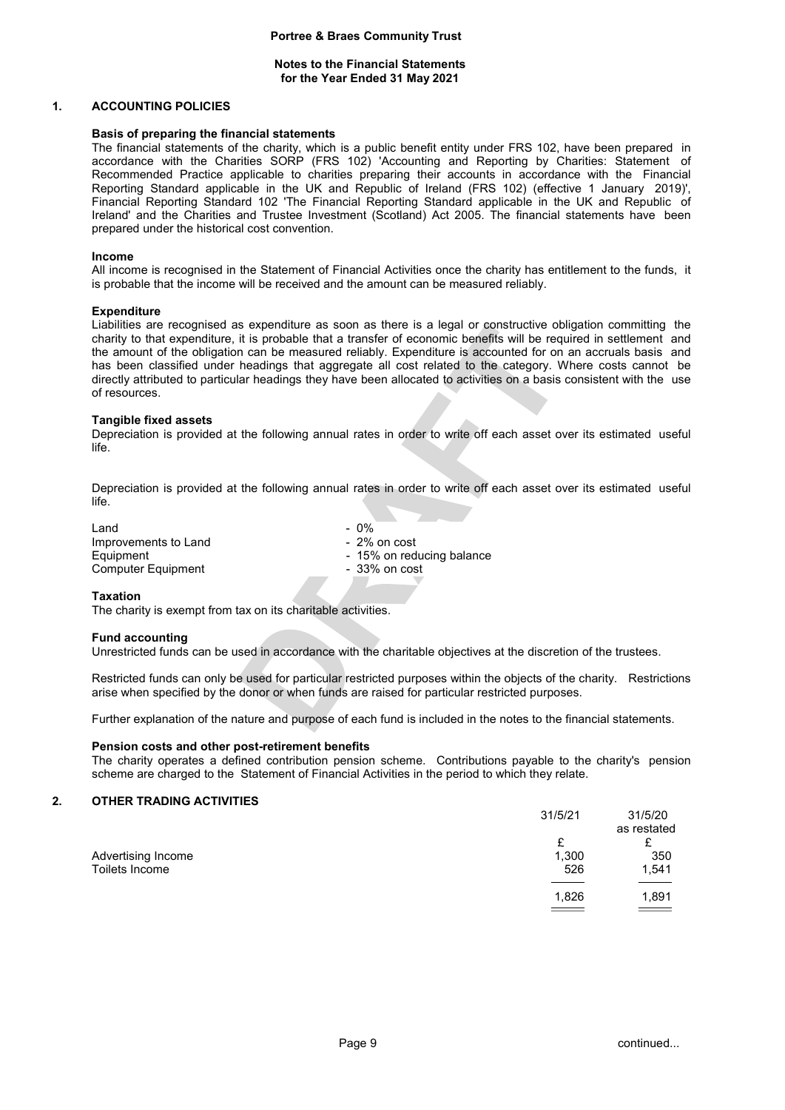# Notes to the Financial Statements for the Year Ended 31 May 2021

## 1. ACCOUNTING POLICIES

#### Basis of preparing the financial statements

The financial statements of the charity, which is a public benefit entity under FRS 102, have been prepared in accordance with the Charities SORP (FRS 102) 'Accounting and Reporting by Charities: Statement of Recommended Practice applicable to charities preparing their accounts in accordance with the Financial Reporting Standard applicable in the UK and Republic of Ireland (FRS 102) (effective 1 January 2019)', Financial Reporting Standard 102 'The Financial Reporting Standard applicable in the UK and Republic of Ireland' and the Charities and Trustee Investment (Scotland) Act 2005. The financial statements have been prepared under the historical cost convention.

#### Income

All income is recognised in the Statement of Financial Activities once the charity has entitlement to the funds, it is probable that the income will be received and the amount can be measured reliably.

#### **Expenditure**

Liabilities are recognised as expenditure as soon as there is a legal or constructive obligation committing the charity to that expenditure, it is probable that a transfer of economic benefits will be required in settlement and the amount of the obligation can be measured reliably. Expenditure is accounted for on an accruals basis and has been classified under headings that aggregate all cost related to the category. Where costs cannot be directly attributed to particular headings they have been allocated to activities on a basis consistent with the use of resources.

#### Tangible fixed assets

Depreciation is provided at the following annual rates in order to write off each asset over its estimated useful life.

Depreciation is provided at the following annual rates in order to write off each asset over its estimated useful life.

 $L$ and  $-0\%$ Improvements to Land<br>
Equipment<br>  $\begin{array}{r} -2\% \text{ on cost} \\ -15\% \text{ on red} \end{array}$ - 15% on reducing balance<br>- 33% on cost Computer Equipment

#### Taxation

The charity is exempt from tax on its charitable activities.

#### Fund accounting

Unrestricted funds can be used in accordance with the charitable objectives at the discretion of the trustees.

Restricted funds can only be used for particular restricted purposes within the objects of the charity. Restrictions arise when specified by the donor or when funds are raised for particular restricted purposes.

Further explanation of the nature and purpose of each fund is included in the notes to the financial statements.

## Pension costs and other post-retirement benefits

The charity operates a defined contribution pension scheme. Contributions payable to the charity's pension scheme are charged to the Statement of Financial Activities in the period to which they relate.

## 2. OTHER TRADING ACTIVITIES

|                    | 31/5/21 | 31/5/20<br>as restated |
|--------------------|---------|------------------------|
|                    | £       |                        |
| Advertising Income | 1,300   | 350                    |
| Toilets Income     | 526     | 1,541                  |
|                    |         |                        |
|                    | 1,826   | 1,891                  |
|                    |         | $\sim$                 |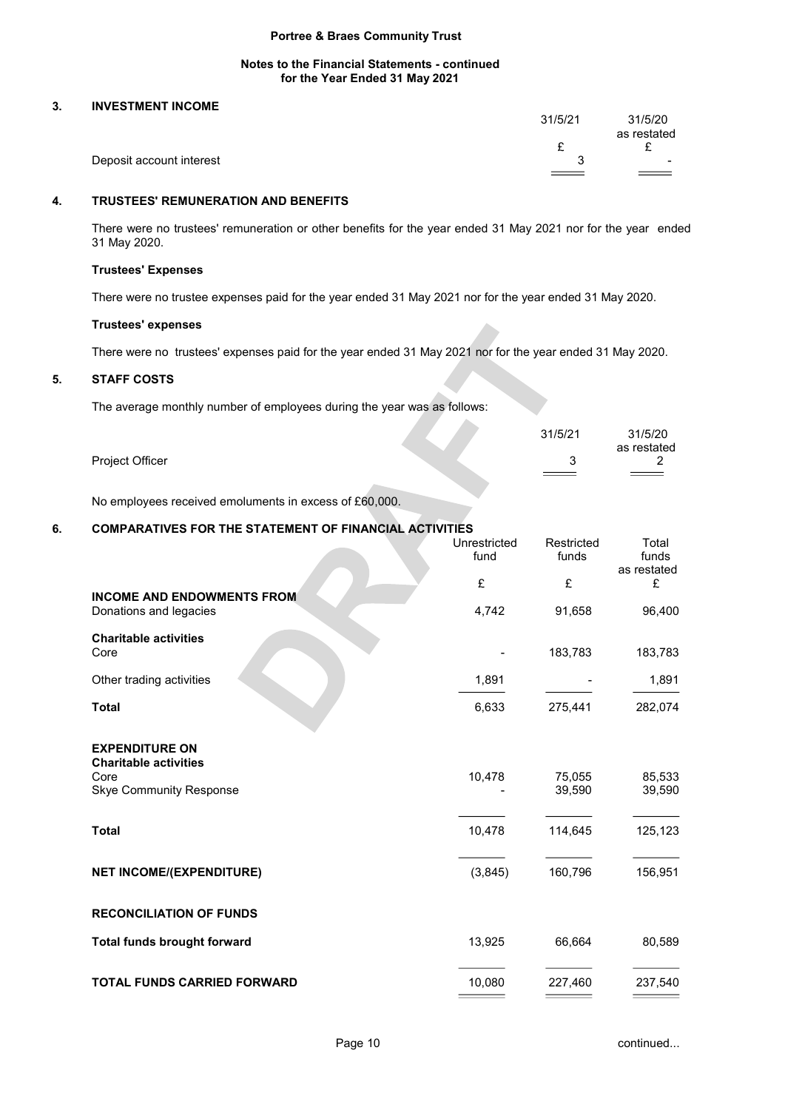# Notes to the Financial Statements - continued for the Year Ended 31 May 2021

# 3. INVESTMENT INCOME

|                          | 31/5/21 | 31/5/20<br>as restated               |
|--------------------------|---------|--------------------------------------|
|                          |         | -                                    |
| Deposit account interest |         | $\overline{\phantom{a}}$<br>$\equiv$ |

# 4. TRUSTEES' REMUNERATION AND BENEFITS

There were no trustees' remuneration or other benefits for the year ended 31 May 2021 nor for the year ended 31 May 2020.

# Trustees' Expenses

There were no trustee expenses paid for the year ended 31 May 2021 nor for the year ended 31 May 2020.

# Trustees' expenses

There were no trustees' expenses paid for the year ended 31 May 2021 nor for the year ended 31 May 2020.

# 5. STAFF COSTS

The average monthly number of employees during the year was as follows:

|                 | 31/5/21 | 31/5/20     |
|-----------------|---------|-------------|
|                 |         | as restated |
| Project Officer |         | <u>.</u>    |
|                 |         |             |

No employees received emoluments in excess of £60,000.

# 6. COMPARATIVES FOR THE STATEMENT OF FINANCIAL ACTIVITIES

|                                                                        | Unrestricted<br>fund | Restricted<br>funds | Total<br>funds   |
|------------------------------------------------------------------------|----------------------|---------------------|------------------|
|                                                                        | £                    | £                   | as restated<br>£ |
| <b>INCOME AND ENDOWMENTS FROM</b><br>Donations and legacies            | 4,742                | 91,658              | 96,400           |
| <b>Charitable activities</b><br>Core                                   |                      | 183,783             | 183,783          |
| Other trading activities                                               | 1,891                |                     | 1,891            |
| <b>Total</b>                                                           | 6,633                | 275,441             | 282,074          |
| <b>EXPENDITURE ON</b>                                                  |                      |                     |                  |
| <b>Charitable activities</b><br>Core<br><b>Skye Community Response</b> | 10,478               | 75,055<br>39,590    | 85,533<br>39,590 |
| <b>Total</b>                                                           | 10,478               | 114,645             | 125,123          |
| <b>NET INCOME/(EXPENDITURE)</b>                                        | (3,845)              | 160,796             | 156,951          |
| <b>RECONCILIATION OF FUNDS</b>                                         |                      |                     |                  |
| <b>Total funds brought forward</b>                                     | 13,925               | 66,664              | 80,589           |
| <b>TOTAL FUNDS CARRIED FORWARD</b>                                     | 10,080               | 227,460             | 237,540          |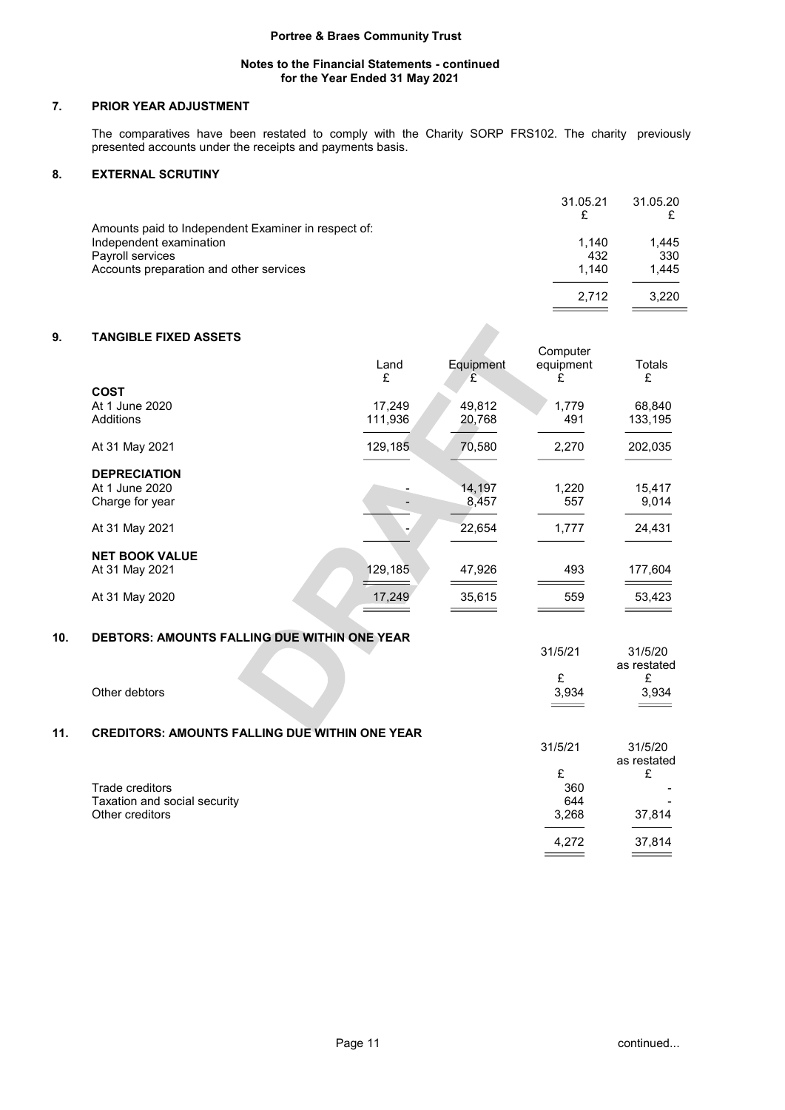# Notes to the Financial Statements - continued for the Year Ended 31 May 2021

# 7. PRIOR YEAR ADJUSTMENT

The comparatives have been restated to comply with the Charity SORP FRS102. The charity previously presented accounts under the receipts and payments basis.

# 8. EXTERNAL SCRUTINY

|                                                     | 31.05.21 | 31.05.20 |
|-----------------------------------------------------|----------|----------|
| Amounts paid to Independent Examiner in respect of: |          |          |
| Independent examination                             | 1.140    | 1,445    |
| Payroll services                                    | 432      | 330      |
| Accounts preparation and other services             | 1.140    | 1.445    |
|                                                     | 2.712    | 3.220    |

# 9. TANGIBLE FIXED ASSETS

| <b>TANGIBLE FIXED ASSETS</b> |           |                | Computer       |             |
|------------------------------|-----------|----------------|----------------|-------------|
|                              | Land<br>£ | Equipment<br>£ | equipment<br>£ | Totals<br>£ |
| <b>COST</b>                  |           |                |                |             |
| At 1 June 2020               | 17.249    | 49,812         | 1.779          | 68,840      |
| Additions                    | 111,936   | 20,768         | 491            | 133,195     |
| At 31 May 2021               | 129,185   | 70,580         | 2,270          | 202,035     |
| <b>DEPRECIATION</b>          |           |                |                |             |
| At 1 June 2020               |           | 14,197         | 1,220          | 15,417      |
| Charge for year              |           | 8,457          | 557            | 9,014       |
| At 31 May 2021               |           | 22,654         | 1,777          | 24,431      |
| <b>NET BOOK VALUE</b>        |           |                |                |             |
| At 31 May 2021               | 129,185   | 47,926         | 493            | 177,604     |
| At 31 May 2020               | 17,249    | 35,615         | 559            | 53,423      |

# 10. DEBTORS: AMOUNTS FALLING DUE WITHIN ONE YEAR

|     |                                                       | 31/5/21    | 31/5/20<br>as restated |
|-----|-------------------------------------------------------|------------|------------------------|
|     | Other debtors                                         | £<br>3,934 | £<br>3,934             |
| 11. | <b>CREDITORS: AMOUNTS FALLING DUE WITHIN ONE YEAR</b> | 31/5/21    | 31/5/20                |
|     |                                                       | £          | as restated<br>£       |
|     | Trade creditors                                       | 360        |                        |
|     | Taxation and social security                          | 644        |                        |
|     | Other creditors                                       | 3,268      | 37,814                 |
|     |                                                       | 4,272      | 37,814                 |
|     |                                                       |            |                        |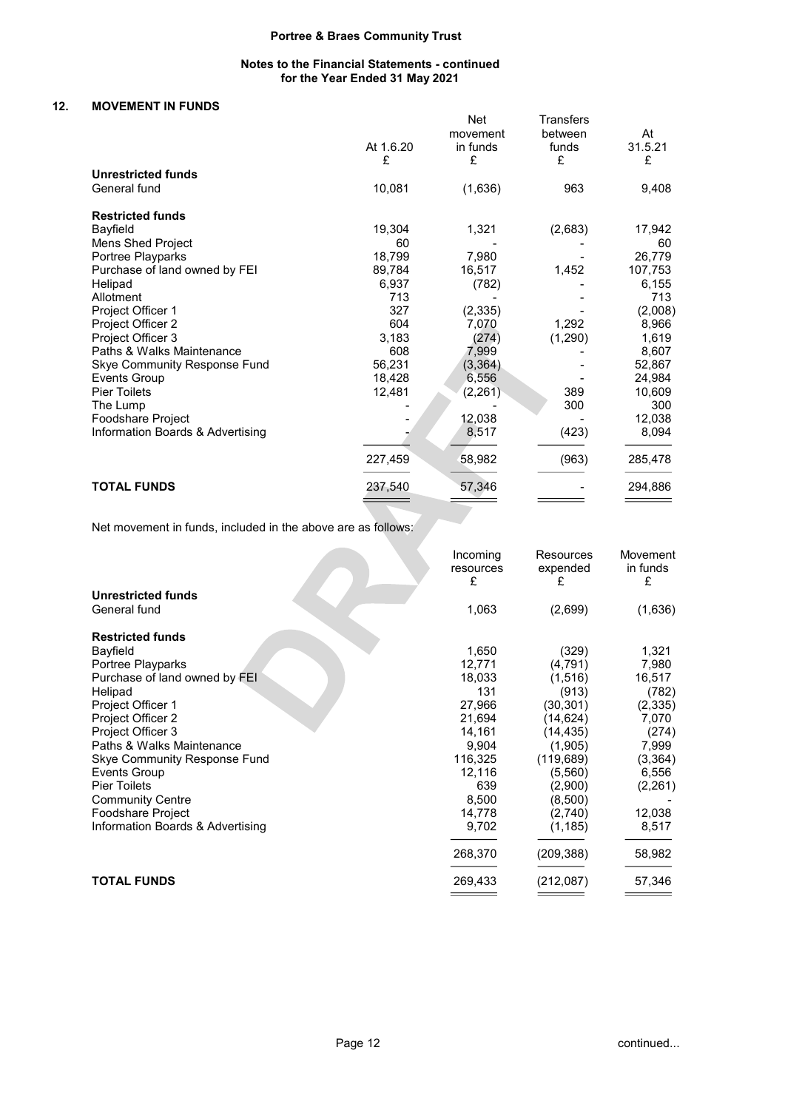# Notes to the Financial Statements - continued for the Year Ended 31 May 2021

# 12. MOVEMENT IN FUNDS

|                                     | At 1.6.20<br>£ | <b>Net</b><br>movement<br>in funds<br>£ | <b>Transfers</b><br>between<br>funds<br>£ | At<br>31.5.21<br>£ |
|-------------------------------------|----------------|-----------------------------------------|-------------------------------------------|--------------------|
| <b>Unrestricted funds</b>           |                |                                         |                                           |                    |
| General fund                        | 10,081         | (1,636)                                 | 963                                       | 9,408              |
| <b>Restricted funds</b>             |                |                                         |                                           |                    |
| Bayfield                            | 19,304         | 1,321                                   | (2,683)                                   | 17,942             |
| Mens Shed Project                   | 60             |                                         |                                           | 60                 |
| Portree Playparks                   | 18,799         | 7,980                                   |                                           | 26,779             |
| Purchase of land owned by FEI       | 89,784         | 16,517                                  | 1,452                                     | 107,753            |
| Helipad                             | 6,937          | (782)                                   |                                           | 6,155              |
| Allotment                           | 713            |                                         |                                           | 713                |
| Project Officer 1                   | 327            | (2, 335)                                |                                           | (2,008)            |
| Project Officer 2                   | 604            | 7,070                                   | 1,292                                     | 8,966              |
| Project Officer 3                   | 3,183          | (274)                                   | (1,290)                                   | 1,619              |
| Paths & Walks Maintenance           | 608            | 7,999                                   |                                           | 8,607              |
| <b>Skye Community Response Fund</b> | 56,231         | (3, 364)                                |                                           | 52,867             |
| <b>Events Group</b>                 | 18,428         | 6,556                                   |                                           | 24,984             |
| <b>Pier Toilets</b>                 | 12,481         | (2, 261)                                | 389                                       | 10,609             |
| The Lump                            |                |                                         | 300                                       | 300                |
| Foodshare Project                   |                | 12,038                                  |                                           | 12,038             |
| Information Boards & Advertising    |                | 8,517                                   | (423)                                     | 8,094              |
|                                     | 227,459        | 58,982                                  | (963)                                     | 285,478            |
| <b>TOTAL FUNDS</b>                  | 237,540        | 57,346                                  |                                           | 294,886            |

Net movement in funds, included in the above are as follows:

|                                  | Incoming<br>resources<br>£ | Resources<br>expended<br>£ | Movement<br>in funds<br>£ |
|----------------------------------|----------------------------|----------------------------|---------------------------|
| <b>Unrestricted funds</b>        |                            |                            |                           |
| General fund                     | 1,063                      | (2,699)                    | (1,636)                   |
| <b>Restricted funds</b>          |                            |                            |                           |
| Bayfield                         | 1,650                      | (329)                      | 1,321                     |
| Portree Playparks                | 12,771                     | (4, 791)                   | 7,980                     |
| Purchase of land owned by FEI    | 18,033                     | (1, 516)                   | 16,517                    |
| Helipad                          | 131                        | (913)                      | (782)                     |
| Project Officer 1                | 27,966                     | (30,301)                   | (2, 335)                  |
| Project Officer 2                | 21,694                     | (14,624)                   | 7,070                     |
| Project Officer 3                | 14,161                     | (14, 435)                  | (274)                     |
| Paths & Walks Maintenance        | 9,904                      | (1,905)                    | 7,999                     |
| Skye Community Response Fund     | 116,325                    | (119, 689)                 | (3, 364)                  |
| <b>Events Group</b>              | 12,116                     | (5,560)                    | 6,556                     |
| <b>Pier Toilets</b>              | 639                        | (2,900)                    | (2,261)                   |
| <b>Community Centre</b>          | 8,500                      | (8,500)                    |                           |
| Foodshare Project                | 14,778                     | (2,740)                    | 12,038                    |
| Information Boards & Advertising | 9,702                      | (1, 185)                   | 8,517                     |
|                                  | 268,370                    | (209,388)                  | 58,982                    |
| <b>TOTAL FUNDS</b>               | 269,433                    | (212,087)                  | 57,346                    |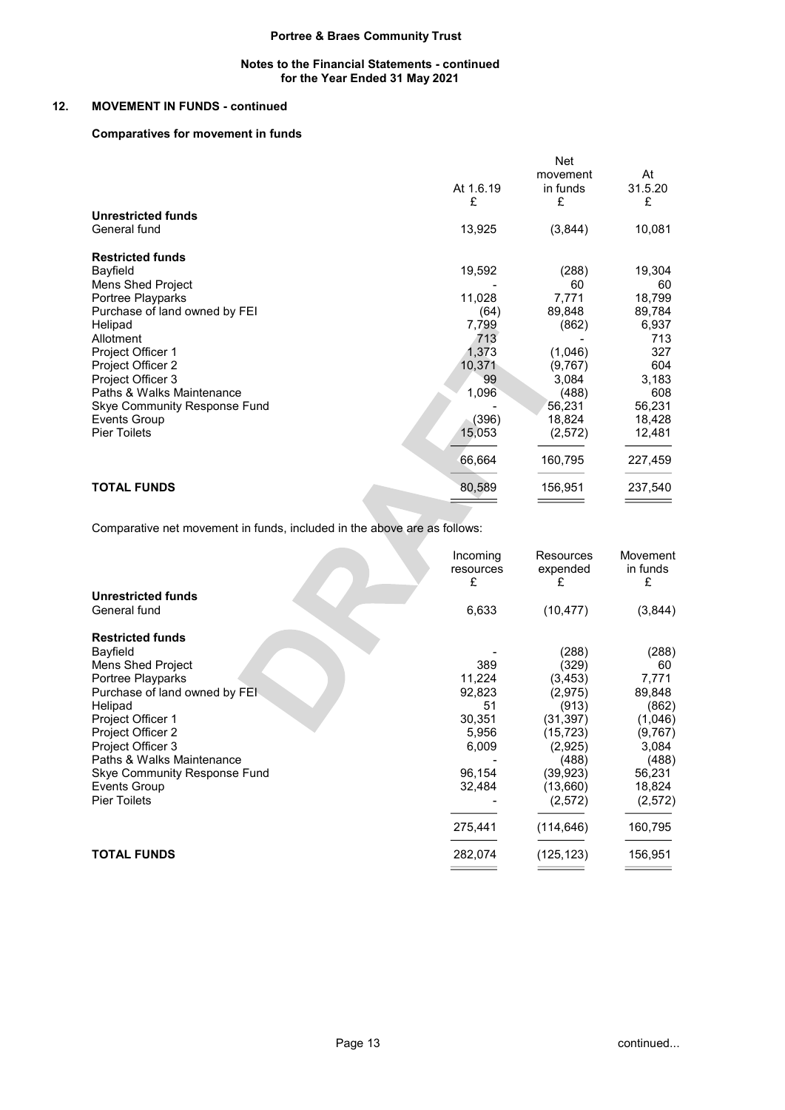### Notes to the Financial Statements - continued for the Year Ended 31 May 2021

# 12. MOVEMENT IN FUNDS - continued

# Comparatives for movement in funds

|                               |           | <b>Net</b> |         |
|-------------------------------|-----------|------------|---------|
|                               |           | movement   | At      |
|                               | At 1.6.19 | in funds   | 31.5.20 |
|                               | £         | £          | £       |
| <b>Unrestricted funds</b>     |           |            |         |
| General fund                  | 13,925    | (3,844)    | 10,081  |
| <b>Restricted funds</b>       |           |            |         |
| Bayfield                      | 19,592    | (288)      | 19,304  |
| <b>Mens Shed Project</b>      |           | 60         | 60      |
| Portree Playparks             | 11,028    | 7,771      | 18,799  |
| Purchase of land owned by FEI | (64)      | 89,848     | 89,784  |
| Helipad                       | 7,799     | (862)      | 6,937   |
| Allotment                     | 713       |            | 713     |
| Project Officer 1             | 1,373     | (1,046)    | 327     |
| Project Officer 2             | 10,371    | (9,767)    | 604     |
| Project Officer 3             | 99        | 3,084      | 3,183   |
| Paths & Walks Maintenance     | 1,096     | (488)      | 608     |
| Skye Community Response Fund  |           | 56,231     | 56,231  |
| <b>Events Group</b>           | (396)     | 18,824     | 18,428  |
| <b>Pier Toilets</b>           | 15,053    | (2,572)    | 12,481  |
|                               | 66,664    | 160,795    | 227,459 |
| <b>TOTAL FUNDS</b>            | 80,589    | 156,951    | 237,540 |

Comparative net movement in funds, included in the above are as follows:

|                                     | Incoming<br>resources<br>£ | Resources<br>expended<br>£ | Movement<br>in funds<br>£ |
|-------------------------------------|----------------------------|----------------------------|---------------------------|
| <b>Unrestricted funds</b>           |                            |                            |                           |
| General fund                        | 6,633                      | (10, 477)                  | (3,844)                   |
| <b>Restricted funds</b>             |                            |                            |                           |
| Bayfield                            |                            | (288)                      | (288)                     |
| Mens Shed Project                   | 389                        | (329)                      | 60                        |
| Portree Playparks                   | 11,224                     | (3, 453)                   | 7,771                     |
| Purchase of land owned by FEI       | 92,823                     | (2,975)                    | 89,848                    |
| Helipad                             | 51                         | (913)                      | (862)                     |
| Project Officer 1                   | 30,351                     | (31, 397)                  | (1,046)                   |
| Project Officer 2                   | 5,956                      | (15, 723)                  | (9,767)                   |
| Project Officer 3                   | 6,009                      | (2,925)                    | 3,084                     |
| Paths & Walks Maintenance           |                            | (488)                      | (488)                     |
| <b>Skye Community Response Fund</b> | 96,154                     | (39, 923)                  | 56,231                    |
| Events Group                        | 32,484                     | (13,660)                   | 18,824                    |
| <b>Pier Toilets</b>                 |                            | (2,572)                    | (2, 572)                  |
|                                     | 275,441                    | (114, 646)                 | 160,795                   |
| <b>TOTAL FUNDS</b>                  | 282,074                    | (125, 123)                 | 156,951                   |
|                                     |                            |                            |                           |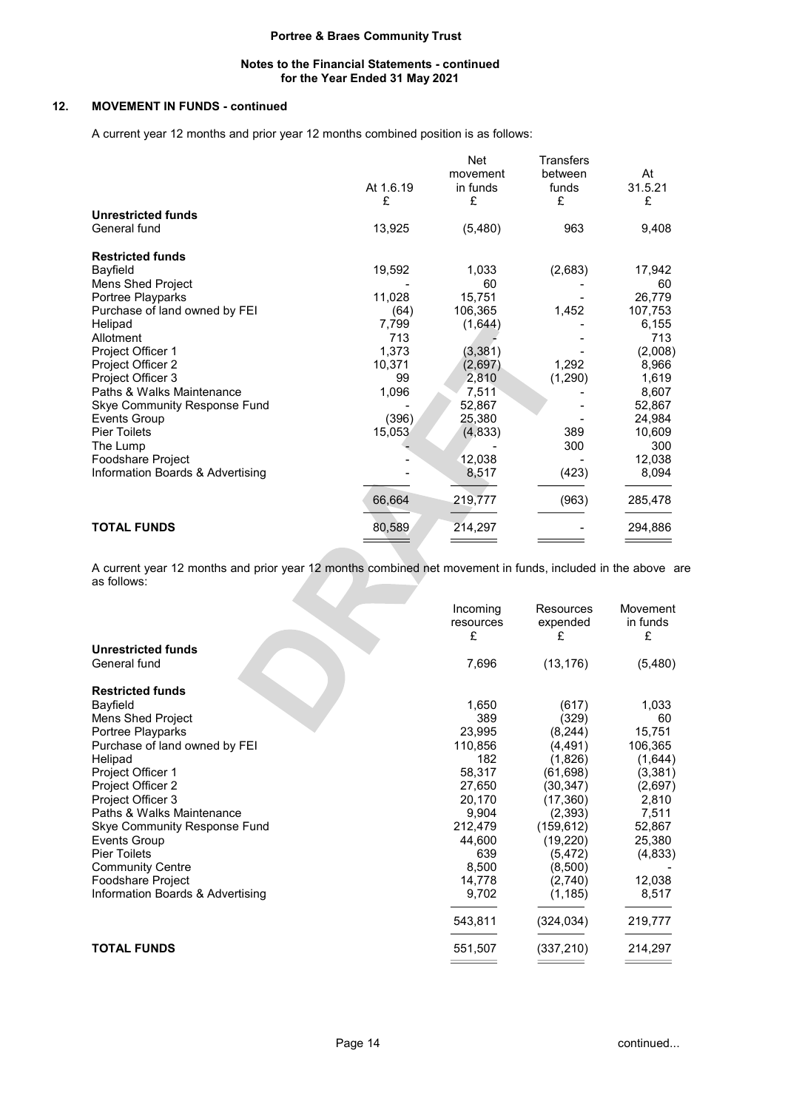## Notes to the Financial Statements - continued for the Year Ended 31 May 2021

# 12. MOVEMENT IN FUNDS - continued

A current year 12 months and prior year 12 months combined position is as follows:

| <b>Unrestricted funds</b><br>General fund<br>13,925<br>963<br>(5,480)<br><b>Restricted funds</b><br>Bayfield<br>19,592<br>(2,683)<br>1,033<br>Mens Shed Project<br>60<br>Portree Playparks<br>11,028<br>15,751<br>1,452<br>Purchase of land owned by FEI<br>(64)<br>106,365<br>Helipad<br>7,799<br>(1,644)<br>Allotment<br>713<br>Project Officer 1<br>1,373<br>(3, 381)<br>Project Officer 2<br>10,371<br>(2,697)<br>1,292<br>Project Officer 3<br>99<br>(1,290)<br>2,810<br>Paths & Walks Maintenance<br>1,096<br>7,511<br>52,867<br><b>Skye Community Response Fund</b><br><b>Events Group</b><br>(396)<br>25,380<br><b>Pier Toilets</b><br>15,053<br>389<br>(4,833)<br>The Lump<br>300<br>Foodshare Project<br>12,038<br>Information Boards & Advertising<br>(423)<br>8,517<br>66,664<br>219,777<br>(963) |                    | At 1.6.19<br>£ | <b>Net</b><br>movement<br>in funds<br>£ | Transfers<br>between<br>funds<br>£ | At<br>31.5.21<br>£ |
|---------------------------------------------------------------------------------------------------------------------------------------------------------------------------------------------------------------------------------------------------------------------------------------------------------------------------------------------------------------------------------------------------------------------------------------------------------------------------------------------------------------------------------------------------------------------------------------------------------------------------------------------------------------------------------------------------------------------------------------------------------------------------------------------------------------|--------------------|----------------|-----------------------------------------|------------------------------------|--------------------|
|                                                                                                                                                                                                                                                                                                                                                                                                                                                                                                                                                                                                                                                                                                                                                                                                               |                    |                |                                         |                                    |                    |
|                                                                                                                                                                                                                                                                                                                                                                                                                                                                                                                                                                                                                                                                                                                                                                                                               |                    |                |                                         |                                    | 9,408              |
|                                                                                                                                                                                                                                                                                                                                                                                                                                                                                                                                                                                                                                                                                                                                                                                                               |                    |                |                                         |                                    |                    |
|                                                                                                                                                                                                                                                                                                                                                                                                                                                                                                                                                                                                                                                                                                                                                                                                               |                    |                |                                         |                                    | 17,942             |
|                                                                                                                                                                                                                                                                                                                                                                                                                                                                                                                                                                                                                                                                                                                                                                                                               |                    |                |                                         |                                    | 60                 |
|                                                                                                                                                                                                                                                                                                                                                                                                                                                                                                                                                                                                                                                                                                                                                                                                               |                    |                |                                         |                                    | 26,779             |
|                                                                                                                                                                                                                                                                                                                                                                                                                                                                                                                                                                                                                                                                                                                                                                                                               |                    |                |                                         |                                    | 107,753            |
|                                                                                                                                                                                                                                                                                                                                                                                                                                                                                                                                                                                                                                                                                                                                                                                                               |                    |                |                                         |                                    | 6,155              |
|                                                                                                                                                                                                                                                                                                                                                                                                                                                                                                                                                                                                                                                                                                                                                                                                               |                    |                |                                         |                                    | 713                |
|                                                                                                                                                                                                                                                                                                                                                                                                                                                                                                                                                                                                                                                                                                                                                                                                               |                    |                |                                         |                                    | (2,008)            |
|                                                                                                                                                                                                                                                                                                                                                                                                                                                                                                                                                                                                                                                                                                                                                                                                               |                    |                |                                         |                                    | 8,966              |
|                                                                                                                                                                                                                                                                                                                                                                                                                                                                                                                                                                                                                                                                                                                                                                                                               |                    |                |                                         |                                    | 1,619              |
|                                                                                                                                                                                                                                                                                                                                                                                                                                                                                                                                                                                                                                                                                                                                                                                                               |                    |                |                                         |                                    | 8,607              |
|                                                                                                                                                                                                                                                                                                                                                                                                                                                                                                                                                                                                                                                                                                                                                                                                               |                    |                |                                         |                                    | 52,867             |
|                                                                                                                                                                                                                                                                                                                                                                                                                                                                                                                                                                                                                                                                                                                                                                                                               |                    |                |                                         |                                    | 24,984             |
|                                                                                                                                                                                                                                                                                                                                                                                                                                                                                                                                                                                                                                                                                                                                                                                                               |                    |                |                                         |                                    | 10,609             |
|                                                                                                                                                                                                                                                                                                                                                                                                                                                                                                                                                                                                                                                                                                                                                                                                               |                    |                |                                         |                                    | 300                |
|                                                                                                                                                                                                                                                                                                                                                                                                                                                                                                                                                                                                                                                                                                                                                                                                               |                    |                |                                         |                                    | 12,038             |
|                                                                                                                                                                                                                                                                                                                                                                                                                                                                                                                                                                                                                                                                                                                                                                                                               |                    |                |                                         |                                    | 8,094              |
|                                                                                                                                                                                                                                                                                                                                                                                                                                                                                                                                                                                                                                                                                                                                                                                                               |                    |                |                                         |                                    | 285,478            |
|                                                                                                                                                                                                                                                                                                                                                                                                                                                                                                                                                                                                                                                                                                                                                                                                               | <b>TOTAL FUNDS</b> | 80,589         | 214,297                                 |                                    | 294,886            |

A current year 12 months and prior year 12 months combined net movement in funds, included in the above are as follows:

|                                  | Incoming<br>resources<br>£ | Resources<br>expended<br>£ | Movement<br>in funds<br>£ |
|----------------------------------|----------------------------|----------------------------|---------------------------|
| <b>Unrestricted funds</b>        |                            |                            |                           |
| General fund                     | 7,696                      | (13, 176)                  | (5,480)                   |
| <b>Restricted funds</b>          |                            |                            |                           |
| Bayfield                         | 1,650                      | (617)                      | 1,033                     |
| Mens Shed Project                | 389                        | (329)                      | 60                        |
| Portree Playparks                | 23,995                     | (8, 244)                   | 15,751                    |
| Purchase of land owned by FEI    | 110,856                    | (4,491)                    | 106,365                   |
| Helipad                          | 182                        | (1,826)                    | (1,644)                   |
| Project Officer 1                | 58,317                     | (61,698)                   | (3, 381)                  |
| Project Officer 2                | 27,650                     | (30,347)                   | (2,697)                   |
| Project Officer 3                | 20,170                     | (17, 360)                  | 2,810                     |
| Paths & Walks Maintenance        | 9,904                      | (2,393)                    | 7,511                     |
| Skye Community Response Fund     | 212,479                    | (159, 612)                 | 52,867                    |
| Events Group                     | 44,600                     | (19, 220)                  | 25,380                    |
| <b>Pier Toilets</b>              | 639                        | (5, 472)                   | (4,833)                   |
| <b>Community Centre</b>          | 8,500                      | (8,500)                    |                           |
| Foodshare Project                | 14,778                     | (2,740)                    | 12,038                    |
| Information Boards & Advertising | 9,702                      | (1, 185)                   | 8,517                     |
|                                  | 543,811                    | (324,034)                  | 219,777                   |
| <b>TOTAL FUNDS</b>               | 551,507                    | (337, 210)                 | 214,297                   |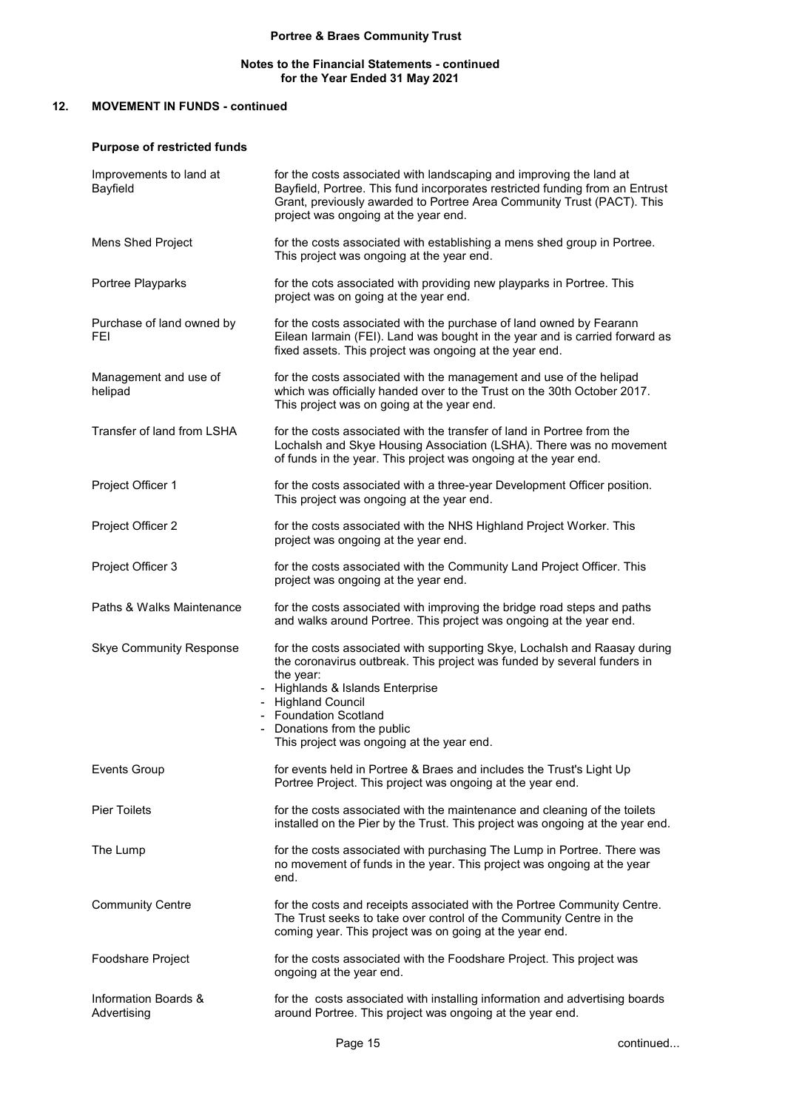# Notes to the Financial Statements - continued for the Year Ended 31 May 2021

# 12. MOVEMENT IN FUNDS - continued

# Purpose of restricted funds

| Improvements to land at<br>Bayfield | for the costs associated with landscaping and improving the land at<br>Bayfield, Portree. This fund incorporates restricted funding from an Entrust<br>Grant, previously awarded to Portree Area Community Trust (PACT). This<br>project was ongoing at the year end.                                                            |
|-------------------------------------|----------------------------------------------------------------------------------------------------------------------------------------------------------------------------------------------------------------------------------------------------------------------------------------------------------------------------------|
| Mens Shed Project                   | for the costs associated with establishing a mens shed group in Portree.<br>This project was ongoing at the year end.                                                                                                                                                                                                            |
| Portree Playparks                   | for the cots associated with providing new playparks in Portree. This<br>project was on going at the year end.                                                                                                                                                                                                                   |
| Purchase of land owned by<br>FEI    | for the costs associated with the purchase of land owned by Fearann<br>Eilean larmain (FEI). Land was bought in the year and is carried forward as<br>fixed assets. This project was ongoing at the year end.                                                                                                                    |
| Management and use of<br>helipad    | for the costs associated with the management and use of the helipad<br>which was officially handed over to the Trust on the 30th October 2017.<br>This project was on going at the year end.                                                                                                                                     |
| Transfer of land from LSHA          | for the costs associated with the transfer of land in Portree from the<br>Lochalsh and Skye Housing Association (LSHA). There was no movement<br>of funds in the year. This project was ongoing at the year end.                                                                                                                 |
| Project Officer 1                   | for the costs associated with a three-year Development Officer position.<br>This project was ongoing at the year end.                                                                                                                                                                                                            |
| Project Officer 2                   | for the costs associated with the NHS Highland Project Worker. This<br>project was ongoing at the year end.                                                                                                                                                                                                                      |
| Project Officer 3                   | for the costs associated with the Community Land Project Officer. This<br>project was ongoing at the year end.                                                                                                                                                                                                                   |
| Paths & Walks Maintenance           | for the costs associated with improving the bridge road steps and paths<br>and walks around Portree. This project was ongoing at the year end.                                                                                                                                                                                   |
| <b>Skye Community Response</b>      | for the costs associated with supporting Skye, Lochalsh and Raasay during<br>the coronavirus outbreak. This project was funded by several funders in<br>the year:<br>- Highlands & Islands Enterprise<br>- Highland Council<br>- Foundation Scotland<br>- Donations from the public<br>This project was ongoing at the year end. |
| <b>Events Group</b>                 | for events held in Portree & Braes and includes the Trust's Light Up<br>Portree Project. This project was ongoing at the year end.                                                                                                                                                                                               |
| <b>Pier Toilets</b>                 | for the costs associated with the maintenance and cleaning of the toilets<br>installed on the Pier by the Trust. This project was ongoing at the year end.                                                                                                                                                                       |
| The Lump                            | for the costs associated with purchasing The Lump in Portree. There was<br>no movement of funds in the year. This project was ongoing at the year<br>end.                                                                                                                                                                        |
| <b>Community Centre</b>             | for the costs and receipts associated with the Portree Community Centre.<br>The Trust seeks to take over control of the Community Centre in the<br>coming year. This project was on going at the year end.                                                                                                                       |
| Foodshare Project                   | for the costs associated with the Foodshare Project. This project was<br>ongoing at the year end.                                                                                                                                                                                                                                |
| Information Boards &<br>Advertising | for the costs associated with installing information and advertising boards<br>around Portree. This project was ongoing at the year end.                                                                                                                                                                                         |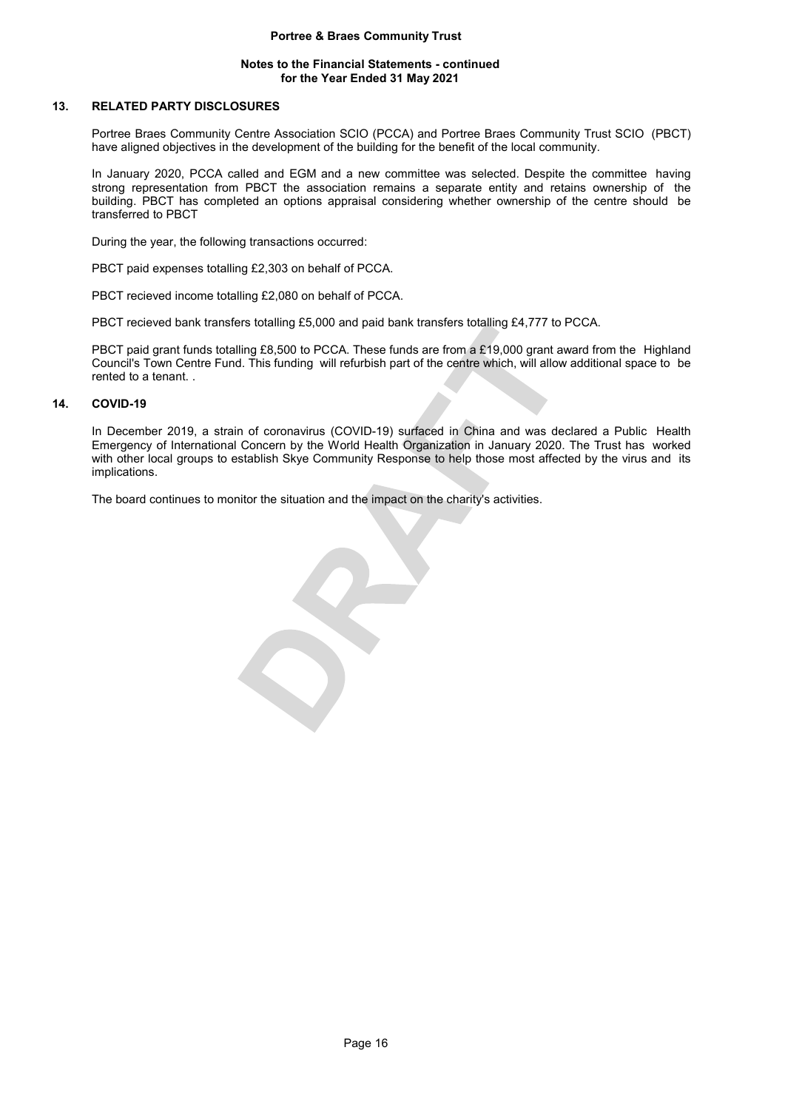# Notes to the Financial Statements - continued for the Year Ended 31 May 2021

# 13. RELATED PARTY DISCLOSURES

Portree Braes Community Centre Association SCIO (PCCA) and Portree Braes Community Trust SCIO (PBCT) have aligned objectives in the development of the building for the benefit of the local community.

In January 2020, PCCA called and EGM and a new committee was selected. Despite the committee having strong representation from PBCT the association remains a separate entity and retains ownership of the building. PBCT has completed an options appraisal considering whether ownership of the centre should be transferred to PBCT

During the year, the following transactions occurred:

PBCT paid expenses totalling £2,303 on behalf of PCCA.

PBCT recieved income totalling £2,080 on behalf of PCCA.

PBCT recieved bank transfers totalling £5,000 and paid bank transfers totalling £4,777 to PCCA.

PBCT paid grant funds totalling £8,500 to PCCA. These funds are from a £19,000 grant award from the Highland Council's Town Centre Fund. This funding will refurbish part of the centre which, will allow additional space to be rented to a tenant. .

# 14. COVID-19

In December 2019, a strain of coronavirus (COVID-19) surfaced in China and was declared a Public Health Emergency of International Concern by the World Health Organization in January 2020. The Trust has worked with other local groups to establish Skye Community Response to help those most affected by the virus and its implications.

The board continues to monitor the situation and the impact on the charity's activities.